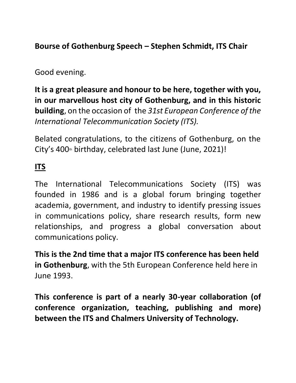**Bourse of Gothenburg Speech – Stephen Schmidt, ITS Chair**

### Good evening.

**It is a great pleasure and honour to be here, together with you, in our marvellous host city of Gothenburg, and in this historic building**, on the occasion of the *31st European Conference of the International Telecommunication Society (ITS).*

Belated congratulations, to the citizens of Gothenburg, on the City's  $400$ <sup>th</sup> birthday, celebrated last June (June, 2021)!

## **ITS**

The International Telecommunications Society (ITS) was founded in 1986 and is a global forum bringing together academia, government, and industry to identify pressing issues in communications policy, share research results, form new relationships, and progress a global conversation about communications policy.

**This is the 2nd time that a major ITS conference has been held in Gothenburg**, with the 5th European Conference held here in June 1993.

**This conference is part of a nearly 30-year collaboration (of conference organization, teaching, publishing and more) between the ITS and Chalmers University of Technology.**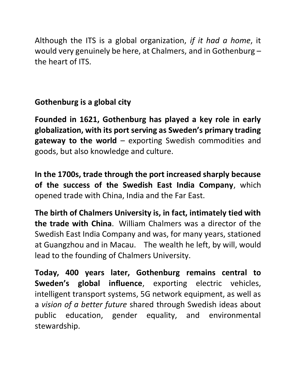Although the ITS is a global organization, *if it had a home*, it would very genuinely be here, at Chalmers, and in Gothenburg – the heart of ITS.

# **Gothenburg is a global city**

**Founded in 1621, Gothenburg has played a key role in early globalization, with its port serving as Sweden's primary trading gateway to the world** – exporting Swedish commodities and goods, but also knowledge and culture.

**In the 1700s, trade through the port increased sharply because of the success of the Swedish East India Company**, which opened trade with China, India and the Far East.

**The birth of Chalmers University is, in fact, intimately tied with the trade with China**. William Chalmers was a director of the Swedish East India Company and was, for many years, stationed at Guangzhou and in Macau. The wealth he left, by will, would lead to the founding of Chalmers University.

**Today, 400 years later, Gothenburg remains central to Sweden's global influence**, exporting electric vehicles, intelligent transport systems, 5G network equipment, as well as a *vision of a better future* shared through Swedish ideas about public education, gender equality, and environmental stewardship.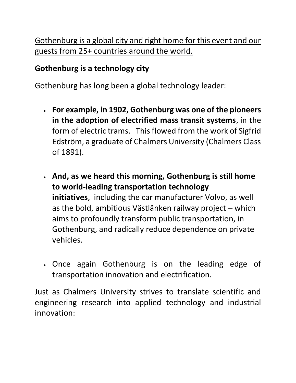Gothenburg is a global city and right home for this event and our guests from 25+ countries around the world.

## **Gothenburg is a technology city**

Gothenburg has long been a global technology leader:

- **For example, in 1902, Gothenburg was one of the pioneers in the adoption of electrified mass transit systems**, in the form of electric trams. This flowed from the work of Sigfrid Edström, a graduate of Chalmers University (Chalmers Class of 1891).
- **And, as we heard this morning, Gothenburg is still home to world-leading transportation technology initiatives**, including the car manufacturer Volvo, as well as the bold, ambitious Västlänken railway project – which aims to profoundly transform public transportation, in Gothenburg, and radically reduce dependence on private vehicles.
- Once again Gothenburg is on the leading edge of transportation innovation and electrification.

Just as Chalmers University strives to translate scientific and engineering research into applied technology and industrial innovation: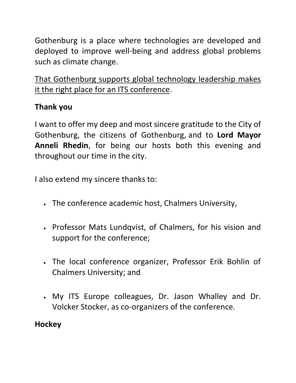Gothenburg is a place where technologies are developed and deployed to improve well-being and address global problems such as climate change.

That Gothenburg supports global technology leadership makes it the right place for an ITS conference.

## **Thank you**

I want to offer my deep and most sincere gratitude to the City of Gothenburg, the citizens of Gothenburg, and to **Lord Mayor Anneli Rhedin**, for being our hosts both this evening and throughout our time in the city.

I also extend my sincere thanks to:

- The conference academic host, Chalmers University,
- Professor Mats Lundqvist, of Chalmers, for his vision and support for the conference;
- The local conference organizer, Professor Erik Bohlin of Chalmers University; and
- My ITS Europe colleagues, Dr. Jason Whalley and Dr. Volcker Stocker, as co-organizers of the conference.

# **Hockey**